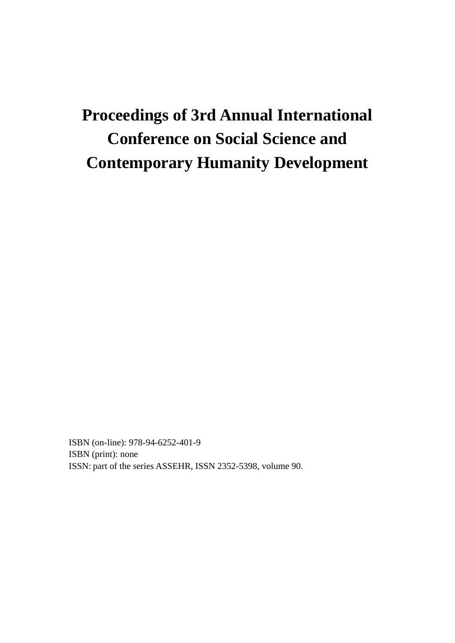# **Proceedings of 3rd Annual International Conference on Social Science and Contemporary Humanity Development**

ISBN (on-line): 978-94-6252-401-9 ISBN (print): none ISSN: part of the series ASSEHR, ISSN 2352-5398, volume 90.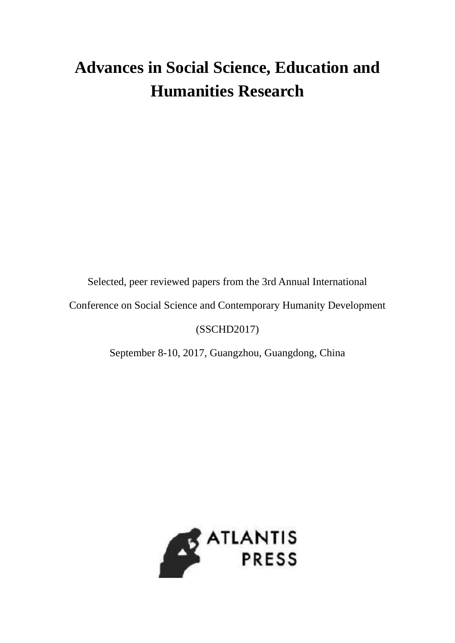# **Advances in Social Science, Education and Humanities Research**

Selected, peer reviewed papers from the 3rd Annual International

Conference on Social Science and Contemporary Humanity Development

### (SSCHD2017)

September 8-10, 2017, Guangzhou, Guangdong, China

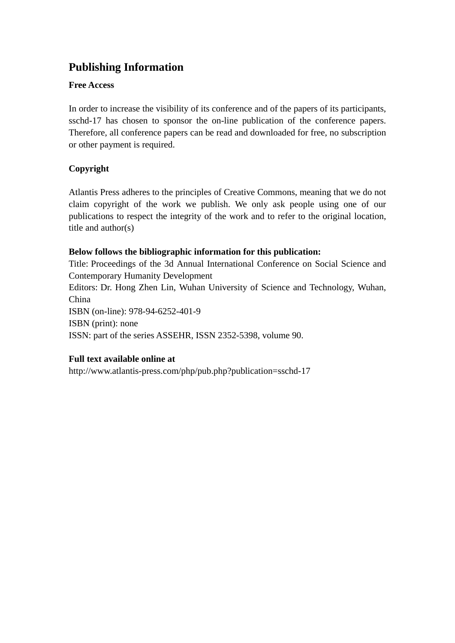# **Publishing Information**

### **Free Access**

In order to increase the visibility of its conference and of the papers of its participants, sschd-17 has chosen to sponsor the on-line publication of the conference papers. Therefore, all conference papers can be read and downloaded for free, no subscription or other payment is required.

### **Copyright**

Atlantis Press adheres to the principles of Creative Commons, meaning that we do not claim copyright of the work we publish. We only ask people using one of our publications to respect the integrity of the work and to refer to the original location, title and author(s)

### **Below follows the bibliographic information for this publication:**

Title: Proceedings of the 3d Annual International Conference on Social Science and Contemporary Humanity Development Editors: Dr. Hong Zhen Lin, Wuhan University of Science and Technology, Wuhan, China ISBN (on-line): 978-94-6252-401-9 ISBN (print): none ISSN: part of the series ASSEHR, ISSN 2352-5398, volume 90.

### **Full text available online at**

http://www.atlantis-press.com/php/pub.php?publication=sschd-17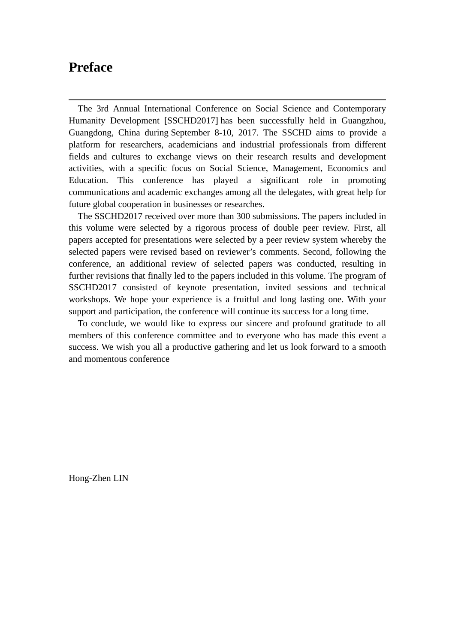# **Preface**

 $\overline{a}$ 

The 3rd Annual International Conference on Social Science and Contemporary Humanity Development [SSCHD2017] has been successfully held in Guangzhou, Guangdong, China during September 8-10, 2017. The SSCHD aims to provide a platform for researchers, academicians and industrial professionals from different fields and cultures to exchange views on their research results and development activities, with a specific focus on Social Science, Management, Economics and Education. This conference has played a significant role in promoting communications and academic exchanges among all the delegates, with great help for future global cooperation in businesses or researches.

The SSCHD2017 received over more than 300 submissions. The papers included in this volume were selected by a rigorous process of double peer review. First, all papers accepted for presentations were selected by a peer review system whereby the selected papers were revised based on reviewer's comments. Second, following the conference, an additional review of selected papers was conducted, resulting in further revisions that finally led to the papers included in this volume. The program of SSCHD2017 consisted of keynote presentation, invited sessions and technical workshops. We hope your experience is a fruitful and long lasting one. With your support and participation, the conference will continue its success for a long time.

To conclude, we would like to express our sincere and profound gratitude to all members of this conference committee and to everyone who has made this event a success. We wish you all a productive gathering and let us look forward to a smooth and momentous conference

Hong-Zhen LIN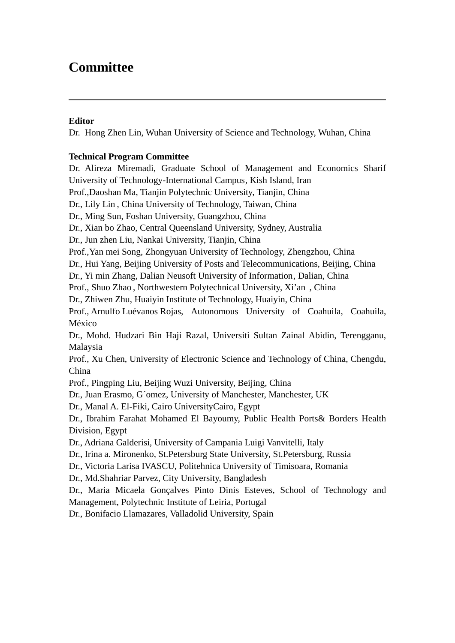# **Committee**

### **Editor**

 $\overline{a}$ 

Dr. Hong Zhen Lin, Wuhan University of Science and Technology, Wuhan, China

#### **Technical Program Committee**

Dr. Alireza Miremadi, Graduate School of Management and Economics Sharif University of Technology-International Campus , Kish Island, Iran Prof.,Daoshan Ma, Tianjin Polytechnic University, Tianjin, China Dr., Lily Lin , China University of Technology, Taiwan, China Dr., Ming Sun, Foshan University, Guangzhou, China Dr., Xian bo Zhao, Central Queensland University, Sydney, Australia Dr., Jun zhen Liu, Nankai University, Tianjin, China Prof.,Yan mei Song, Zhongyuan University of Technology, Zhengzhou, China Dr., Hui Yang, Beijing University of Posts and Telecommunications, Beijing, China Dr., Yi min Zhang, Dalian Neusoft University of Information , Dalian, China Prof., Shuo Zhao , Northwestern Polytechnical University, Xi'an , China Dr., Zhiwen Zhu, Huaiyin Institute of Technology, Huaiyin, China Prof., Arnulfo Luévanos Rojas, Autonomous University of Coahuila, Coahuila, México Dr., Mohd. Hudzari Bin Haji Razal, Universiti Sultan Zainal Abidin, Terengganu, Malaysia Prof., Xu Chen, University of Electronic Science and Technology of China, Chengdu, China Prof., Pingping Liu, Beijing Wuzi University, Beijing, China Dr., Juan Erasmo, G´omez, University of Manchester, Manchester, UK Dr., Manal A. El-Fiki, Cairo UniversityCairo, Egypt Dr., Ibrahim Farahat Mohamed El Bayoumy, Public Health Ports& Borders Health Division, Egypt Dr., Adriana Galderisi, University of Campania Luigi Vanvitelli, Italy Dr., Irina a. Mironenko, St.Petersburg State University, St.Petersburg, Russia Dr., Victoria Larisa IVASCU, Politehnica University of Timisoara, Romania Dr., Md.Shahriar Parvez, City University, Bangladesh Dr., Maria Micaela Gonçalves Pinto Dinis Esteves, School of Technology and Management, Polytechnic Institute of Leiria, Portugal Dr., Bonifacio Llamazares, Valladolid University, Spain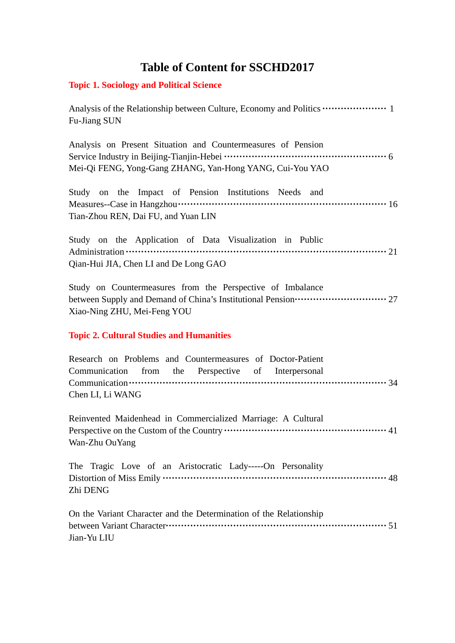# **Table of Content for SSCHD2017**

### **Topic 1. Sociology and Political Science**

Analysis of the Relationship between Culture, Economy and Politics **·····················** 1 Fu-Jiang SUN

Analysis on Present Situation and Countermeasures of Pension Service Industry in Beijing-Tianjin-Hebei **·····················································** 6 Mei-Qi FENG, Yong-Gang ZHANG, Yan-Hong YANG, Cui-You YAO

Study on the Impact of Pension Institutions Needs and Measures--Case in Hangzhou**····································································** 16 Tian-Zhou REN, Dai FU, and Yuan LIN

Study on the Application of Data Visualization in Public Administration **·····················································································** 21 Qian-Hui JIA, Chen LI and De Long GAO

Study on Countermeasures from the Perspective of Imbalance between Supply and Demand of China's Institutional Pension······························ 27 Xiao-Ning ZHU, Mei-Feng YOU

### **Topic 2. Cultural Studies and Humanities**

|                  |  | Research on Problems and Countermeasures of Doctor-Patient |  |  |
|------------------|--|------------------------------------------------------------|--|--|
|                  |  | Communication from the Perspective of Interpersonal        |  |  |
|                  |  |                                                            |  |  |
| Chen LI, Li WANG |  |                                                            |  |  |

Reinvented Maidenhead in Commercialized Marriage: A Cultural Perspective on the Custom of the Country **·····················································** 41 Wan-Zhu OuYang

The Tragic Love of an Aristocratic Lady-----On Personality Distortion of Miss Emily **·········································································** 48 Zhi DENG

On the Variant Character and the Determination of the Relationship between Variant Character**········································································** 51 Jian-Yu LIU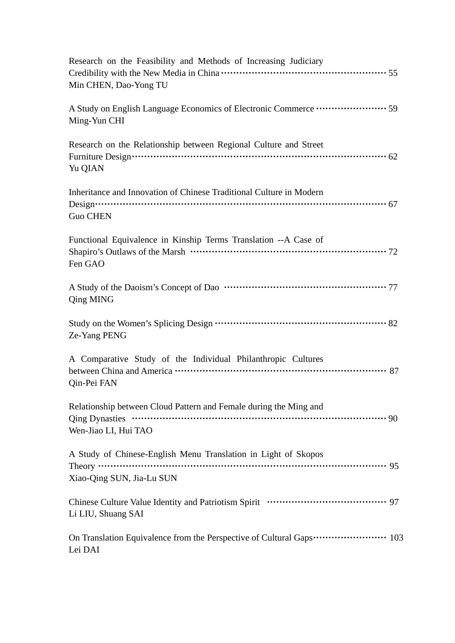| Research on the Feasibility and Methods of Increasing Judiciary<br>Min CHEN, Dao-Yong TU                       |
|----------------------------------------------------------------------------------------------------------------|
| A Study on English Language Economics of Electronic Commerce ····················· 59<br>Ming-Yun CHI          |
| Research on the Relationship between Regional Culture and Street<br>Yu QIAN                                    |
| Inheritance and Innovation of Chinese Traditional Culture in Modern<br><b>Guo CHEN</b>                         |
| Functional Equivalence in Kinship Terms Translation --A Case of<br>Fen GAO                                     |
| <b>Qing MING</b>                                                                                               |
| Ze-Yang PENG                                                                                                   |
| A Comparative Study of the Individual Philanthropic Cultures<br>Qin-Pei FAN                                    |
| Relationship between Cloud Pattern and Female during the Ming and<br>Wen-Jiao LI, Hui TAO                      |
| A Study of Chinese-English Menu Translation in Light of Skopos<br>Theory $\cdots$<br>Xiao-Qing SUN, Jia-Lu SUN |
| Li LIU, Shuang SAI                                                                                             |
| On Translation Equivalence from the Perspective of Cultural Gaps 103<br>Lei DAI                                |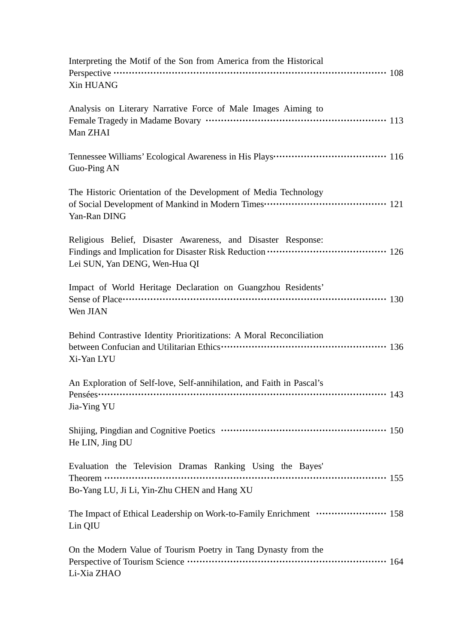| Interpreting the Motif of the Son from America from the Historical<br>Xin HUANG                                                                                                                                                                                                                                                                                                                                                                      |
|------------------------------------------------------------------------------------------------------------------------------------------------------------------------------------------------------------------------------------------------------------------------------------------------------------------------------------------------------------------------------------------------------------------------------------------------------|
| Analysis on Literary Narrative Force of Male Images Aiming to<br>Man ZHAI                                                                                                                                                                                                                                                                                                                                                                            |
| Tennessee Williams' Ecological Awareness in His Plays ··································· 116<br>Guo-Ping AN                                                                                                                                                                                                                                                                                                                                         |
| The Historic Orientation of the Development of Media Technology<br>Yan-Ran DING                                                                                                                                                                                                                                                                                                                                                                      |
| Religious Belief, Disaster Awareness, and Disaster Response:<br>Lei SUN, Yan DENG, Wen-Hua QI                                                                                                                                                                                                                                                                                                                                                        |
| Impact of World Heritage Declaration on Guangzhou Residents'<br>Wen JIAN                                                                                                                                                                                                                                                                                                                                                                             |
| Behind Contrastive Identity Prioritizations: A Moral Reconciliation<br>Xi-Yan LYU                                                                                                                                                                                                                                                                                                                                                                    |
| An Exploration of Self-love, Self-annihilation, and Faith in Pascal's<br>Jia-Ying YU                                                                                                                                                                                                                                                                                                                                                                 |
| Shijing, Pingdian and Cognitive Poetics …………………………………………………… 150<br>He LIN, Jing DU                                                                                                                                                                                                                                                                                                                                                                  |
| Evaluation the Television Dramas Ranking Using the Bayes'<br>Theorem $\cdots$ $\cdots$ $\cdots$ $\cdots$ $\cdots$ $\cdots$ $\cdots$ $\cdots$ $\cdots$ $\cdots$ $\cdots$ $\cdots$ $\cdots$ $\cdots$ $\cdots$ $\cdots$ $\cdots$ $\cdots$ $\cdots$ $\cdots$ $\cdots$ $\cdots$ $\cdots$ $\cdots$ $\cdots$ $\cdots$ $\cdots$ $\cdots$ $\cdots$ $\cdots$ $\cdots$ $\cdots$ $\cdots$ $\cdots$ $\cdots$ $\cd$<br>Bo-Yang LU, Ji Li, Yin-Zhu CHEN and Hang XU |
| The Impact of Ethical Leadership on Work-to-Family Enrichment …………………… 158<br>Lin QIU                                                                                                                                                                                                                                                                                                                                                                |
| On the Modern Value of Tourism Poetry in Tang Dynasty from the<br>Perspective of Tourism Science ………………………………………………………… 164<br>Li-Xia ZHAO                                                                                                                                                                                                                                                                                                           |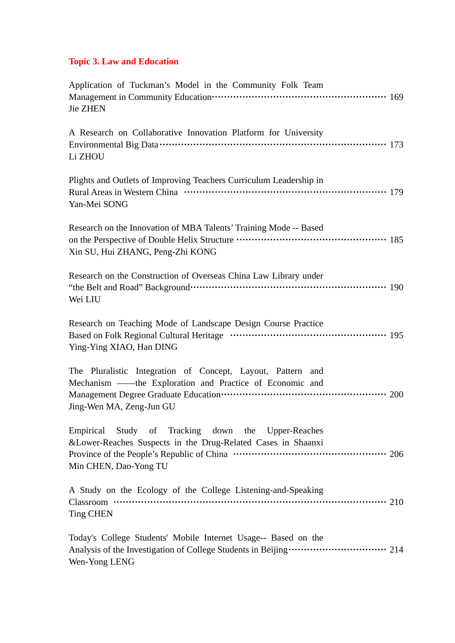# **Topic 3. Law and Education**

| Application of Tuckman's Model in the Community Folk Team<br>Management in Community Education…………………………………………………… 169<br><b>Jie ZHEN</b>                                          |
|------------------------------------------------------------------------------------------------------------------------------------------------------------------------------------|
| A Research on Collaborative Innovation Platform for University<br>Li ZHOU                                                                                                          |
| Plights and Outlets of Improving Teachers Curriculum Leadership in<br>Yan-Mei SONG                                                                                                 |
| Research on the Innovation of MBA Talents' Training Mode -- Based<br>on the Perspective of Double Helix Structure …………………………………………… 185<br>Xin SU, Hui ZHANG, Peng-Zhi KONG        |
| Research on the Construction of Overseas China Law Library under<br>Wei LIU                                                                                                        |
| Research on Teaching Mode of Landscape Design Course Practice<br>Ying-Ying XIAO, Han DING                                                                                          |
| The Pluralistic Integration of Concept, Layout, Pattern and<br>Mechanism — the Exploration and Practice of Economic and<br>Jing-Wen MA, Zeng-Jun GU                                |
| Empirical Study of Tracking down the Upper-Reaches<br>& Lower-Reaches Suspects in the Drug-Related Cases in Shaanxi<br>Min CHEN, Dao-Yong TU                                       |
| A Study on the Ecology of the College Listening-and-Speaking<br><b>Ting CHEN</b>                                                                                                   |
| Today's College Students' Mobile Internet Usage-- Based on the<br>Analysis of the Investigation of College Students in Beijing ······························ 214<br>Wen-Yong LENG |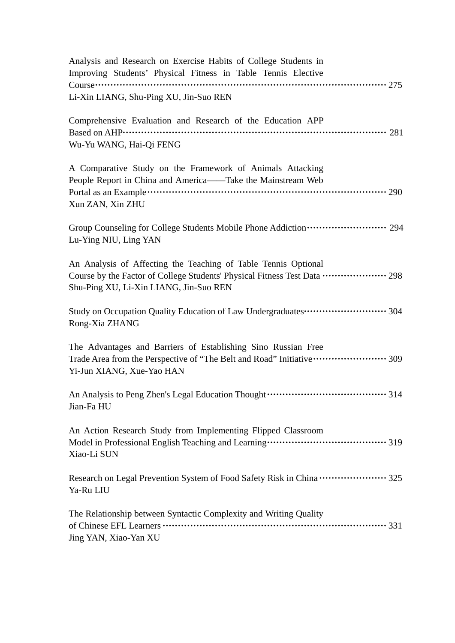| Analysis and Research on Exercise Habits of College Students in<br>Improving Students' Physical Fitness in Table Tennis Elective                                                                         |
|----------------------------------------------------------------------------------------------------------------------------------------------------------------------------------------------------------|
| Li-Xin LIANG, Shu-Ping XU, Jin-Suo REN                                                                                                                                                                   |
| Comprehensive Evaluation and Research of the Education APP<br>Wu-Yu WANG, Hai-Qi FENG                                                                                                                    |
| A Comparative Study on the Framework of Animals Attacking<br>People Report in China and America——Take the Mainstream Web<br>Xun ZAN, Xin ZHU                                                             |
| Group Counseling for College Students Mobile Phone Addiction ······················· 294<br>Lu-Ying NIU, Ling YAN                                                                                        |
| An Analysis of Affecting the Teaching of Table Tennis Optional<br>Course by the Factor of College Students' Physical Fitness Test Data ··················· 298<br>Shu-Ping XU, Li-Xin LIANG, Jin-Suo REN |
| Study on Occupation Quality Education of Law Undergraduates ••••••••••••••••••••••••• 304<br>Rong-Xia ZHANG                                                                                              |
| The Advantages and Barriers of Establishing Sino Russian Free<br>Trade Area from the Perspective of "The Belt and Road" Initiative ······················· 309<br>Yi-Jun XIANG, Xue-Yao HAN              |
| Jian-Fa HU                                                                                                                                                                                               |
| An Action Research Study from Implementing Flipped Classroom<br>Xiao-Li SUN                                                                                                                              |
| Research on Legal Prevention System of Food Safety Risk in China  325<br>Ya-Ru LIU                                                                                                                       |
| The Relationship between Syntactic Complexity and Writing Quality<br>Jing YAN, Xiao-Yan XU                                                                                                               |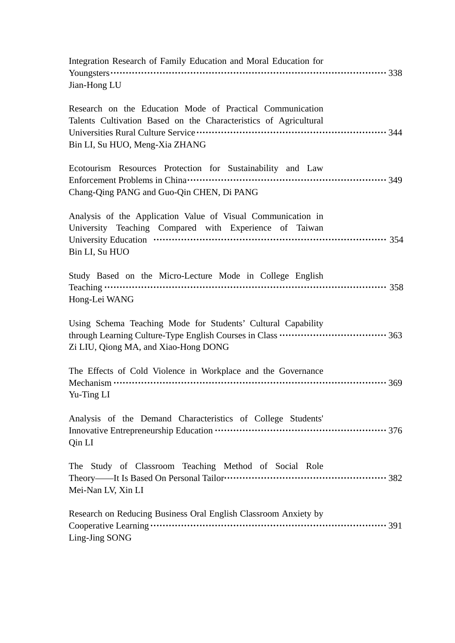| Integration Research of Family Education and Moral Education for<br>$\frac{1}{338}$<br>Jian-Hong LU                                                             |
|-----------------------------------------------------------------------------------------------------------------------------------------------------------------|
| Research on the Education Mode of Practical Communication<br>Talents Cultivation Based on the Characteristics of Agricultural<br>Bin LI, Su HUO, Meng-Xia ZHANG |
| Ecotourism Resources Protection for Sustainability and Law<br>Chang-Qing PANG and Guo-Qin CHEN, Di PANG                                                         |
| Analysis of the Application Value of Visual Communication in<br>University Teaching Compared with Experience of Taiwan<br>Bin LI, Su HUO                        |
| Study Based on the Micro-Lecture Mode in College English<br>Hong-Lei WANG                                                                                       |
| Using Schema Teaching Mode for Students' Cultural Capability<br>Zi LIU, Qiong MA, and Xiao-Hong DONG                                                            |
| The Effects of Cold Violence in Workplace and the Governance<br>Yu-Ting LI                                                                                      |
| Analysis of the Demand Characteristics of College Students'<br>Qin LI                                                                                           |
| The Study of Classroom Teaching Method of Social Role<br>Mei-Nan LV, Xin LI                                                                                     |
| Research on Reducing Business Oral English Classroom Anxiety by<br>Ling-Jing SONG                                                                               |
|                                                                                                                                                                 |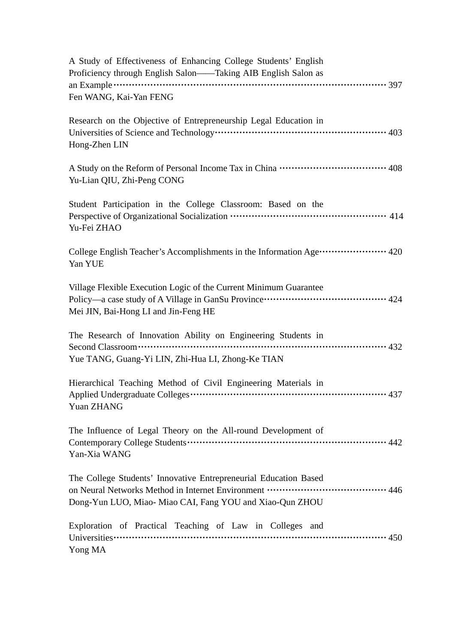| A Study of Effectiveness of Enhancing College Students' English<br>Proficiency through English Salon-Taking AIB English Salon as                                       |
|------------------------------------------------------------------------------------------------------------------------------------------------------------------------|
| Fen WANG, Kai-Yan FENG                                                                                                                                                 |
| Research on the Objective of Entrepreneurship Legal Education in<br>Hong-Zhen LIN                                                                                      |
| Yu-Lian QIU, Zhi-Peng CONG                                                                                                                                             |
| Student Participation in the College Classroom: Based on the<br>Perspective of Organizational Socialization …………………………………………… 414<br>Yu-Fei ZHAO                       |
| College English Teacher's Accomplishments in the Information Age ···················· 420<br>Yan YUE                                                                   |
| Village Flexible Execution Logic of the Current Minimum Guarantee<br>Mei JIN, Bai-Hong LI and Jin-Feng HE                                                              |
| The Research of Innovation Ability on Engineering Students in<br>Second Classroom………………………………………………………………………… 432<br>Yue TANG, Guang-Yi LIN, Zhi-Hua LI, Zhong-Ke TIAN |
| Hierarchical Teaching Method of Civil Engineering Materials in<br>Yuan ZHANG                                                                                           |
| The Influence of Legal Theory on the All-round Development of<br>Yan-Xia WANG                                                                                          |
| The College Students' Innovative Entrepreneurial Education Based<br>Dong-Yun LUO, Miao- Miao CAI, Fang YOU and Xiao-Qun ZHOU                                           |
| Exploration of Practical Teaching of Law in Colleges and<br>Yong MA                                                                                                    |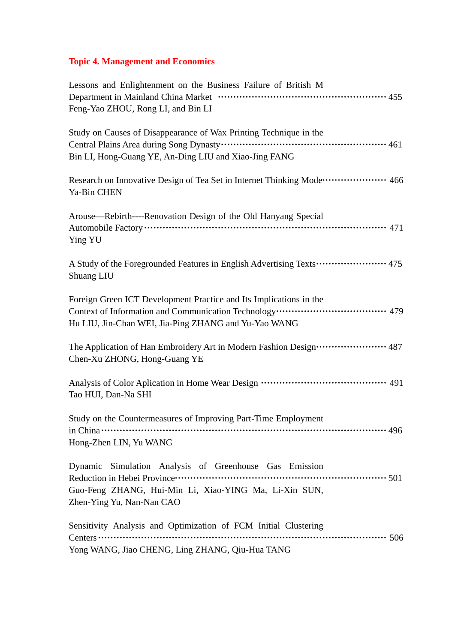# **Topic 4. Management and Economics**

| Lessons and Enlightenment on the Business Failure of British M                                                                                                                                                            |
|---------------------------------------------------------------------------------------------------------------------------------------------------------------------------------------------------------------------------|
| Feng-Yao ZHOU, Rong LI, and Bin LI                                                                                                                                                                                        |
| Study on Causes of Disappearance of Wax Printing Technique in the<br>Bin LI, Hong-Guang YE, An-Ding LIU and Xiao-Jing FANG                                                                                                |
| Research on Innovative Design of Tea Set in Internet Thinking Mode ··················· 466<br>Ya-Bin CHEN                                                                                                                 |
| Arouse—Rebirth----Renovation Design of the Old Hanyang Special<br>Automobile Factory ………………………………………………………………………………… 471<br>Ying YU                                                                                       |
| A Study of the Foregrounded Features in English Advertising Texts ······················ 475<br>Shuang LIU                                                                                                                |
| Foreign Green ICT Development Practice and Its Implications in the<br>Context of Information and Communication Technology ··································· 479<br>Hu LIU, Jin-Chan WEI, Jia-Ping ZHANG and Yu-Yao WANG |
| The Application of Han Embroidery Art in Modern Fashion Design ······················ 487<br>Chen-Xu ZHONG, Hong-Guang YE                                                                                                 |
| Tao HUI, Dan-Na SHI                                                                                                                                                                                                       |
| Study on the Countermeasures of Improving Part-Time Employment<br>Hong-Zhen LIN, Yu WANG                                                                                                                                  |
| Dynamic Simulation Analysis of Greenhouse Gas Emission<br>Guo-Feng ZHANG, Hui-Min Li, Xiao-YING Ma, Li-Xin SUN,<br>Zhen-Ying Yu, Nan-Nan CAO                                                                              |
| Sensitivity Analysis and Optimization of FCM Initial Clustering<br>Centers<br>Yong WANG, Jiao CHENG, Ling ZHANG, Qiu-Hua TANG                                                                                             |